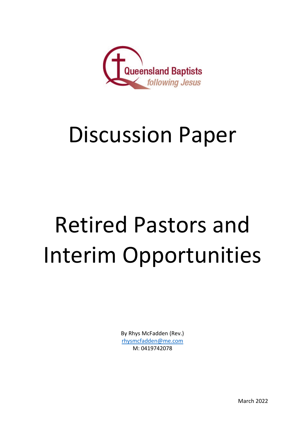

# Discussion Paper

# Retired Pastors and Interim Opportunities

By Rhys McFadden (Rev.) [rhysmcfadden@me.com](mailto:rhysmcfadden@me.com) M: 0419742078

March 2022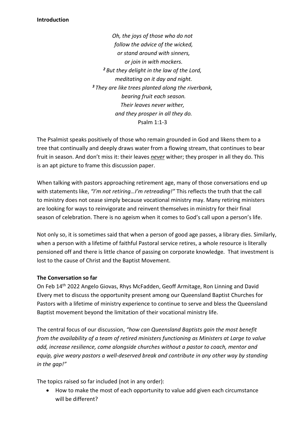#### **Introduction**

*Oh, the joys of those who do not follow the advice of the wicked, or stand around with sinners, or join in with mockers. <sup>2</sup>But they delight in the law of the Lord, meditating on it day and night. <sup>3</sup>They are like trees planted along the riverbank, bearing fruit each season. Their leaves never wither, and they prosper in all they do.* Psalm 1:1-3

The Psalmist speaks positively of those who remain grounded in God and likens them to a tree that continually and deeply draws water from a flowing stream, that continues to bear fruit in season. And don't miss it: their leaves *never* wither; they prosper in all they do. This is an apt picture to frame this discussion paper.

When talking with pastors approaching retirement age, many of those conversations end up with statements like, *"I'm not retiring…I'm retreading!"* This reflects the truth that the call to ministry does not cease simply because vocational ministry may. Many retiring ministers are looking for ways to reinvigorate and reinvent themselves in ministry for their final season of celebration. There is no ageism when it comes to God's call upon a person's life.

Not only so, it is sometimes said that when a person of good age passes, a library dies. Similarly, when a person with a lifetime of faithful Pastoral service retires, a whole resource is literally pensioned off and there is little chance of passing on corporate knowledge. That investment is lost to the cause of Christ and the Baptist Movement.

### **The Conversation so far**

On Feb 14th 2022 Angelo Giovas, Rhys McFadden, Geoff Armitage, Ron Linning and David Elvery met to discuss the opportunity present among our Queensland Baptist Churches for Pastors with a lifetime of ministry experience to continue to serve and bless the Queensland Baptist movement beyond the limitation of their vocational ministry life.

The central focus of our discussion, *"how can Queensland Baptists gain the most benefit from the availability of a team of retired ministers functioning as Ministers at Large to value add, increase resilience, come alongside churches without a pastor to coach, mentor and equip, give weary pastors a well-deserved break and contribute in any other way by standing in the gap!"*

The topics raised so far included (not in any order):

• How to make the most of each opportunity to value add given each circumstance will be different?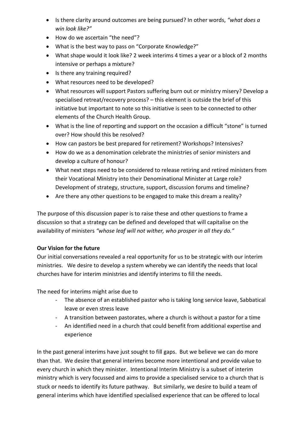- Is there clarity around outcomes are being pursued? In other words, *"what does a win look like?"*
- How do we ascertain "the need"?
- What is the best way to pass on "Corporate Knowledge?"
- What shape would it look like? 2 week interims 4 times a year or a block of 2 months intensive or perhaps a mixture?
- Is there any training required?
- What resources need to be developed?
- What resources will support Pastors suffering burn out or ministry misery? Develop a specialised retreat/recovery process? – this element is outside the brief of this initiative but important to note so this initiative is seen to be connected to other elements of the Church Health Group.
- What is the line of reporting and support on the occasion a difficult "stone" is turned over? How should this be resolved?
- How can pastors be best prepared for retirement? Workshops? Intensives?
- How do we as a denomination celebrate the ministries of senior ministers and develop a culture of honour?
- What next steps need to be considered to release retiring and retired ministers from their Vocational Ministry into their Denominational Minister at Large role? Development of strategy, structure, support, discussion forums and timeline?
- Are there any other questions to be engaged to make this dream a reality?

The purpose of this discussion paper is to raise these and other questions to frame a discussion so that a strategy can be defined and developed that will capitalise on the availability of ministers *"whose leaf will not wither, who prosper in all they do."*

## **Our Vision for the future**

Our initial conversations revealed a real opportunity for us to be strategic with our interim ministries. We desire to develop a system whereby we can identify the needs that local churches have for interim ministries and identify interims to fill the needs.

The need for interims might arise due to

- The absence of an established pastor who is taking long service leave, Sabbatical leave or even stress leave
- A transition between pastorates, where a church is without a pastor for a time
- An identified need in a church that could benefit from additional expertise and experience

In the past general interims have just sought to fill gaps. But we believe we can do more than that. We desire that general interims become more intentional and provide value to every church in which they minister. Intentional Interim Ministry is a subset of interim ministry which is very focussed and aims to provide a specialised service to a church that is stuck or needs to identify its future pathway. But similarly, we desire to build a team of general interims which have identified specialised experience that can be offered to local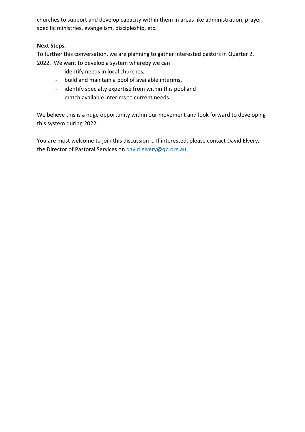churches to support and develop capacity within them in areas like administration, prayer, specific ministries, evangelism, discipleship, etc.

### **Next Steps.**

To further this conversation, we are planning to gather interested pastors in Quarter 2, 2022. We want to develop a system whereby we can

- identify needs in local churches,
- build and maintain a pool of available interims,
- identify specialty expertise from within this pool and
- match available interims to current needs.

We believe this is a huge opportunity within our movement and look forward to developing this system during 2022.

You are most welcome to join this discussion … If interested, please contact David Elvery, the Director of Pastoral Services on david.elvery@qb.org.au